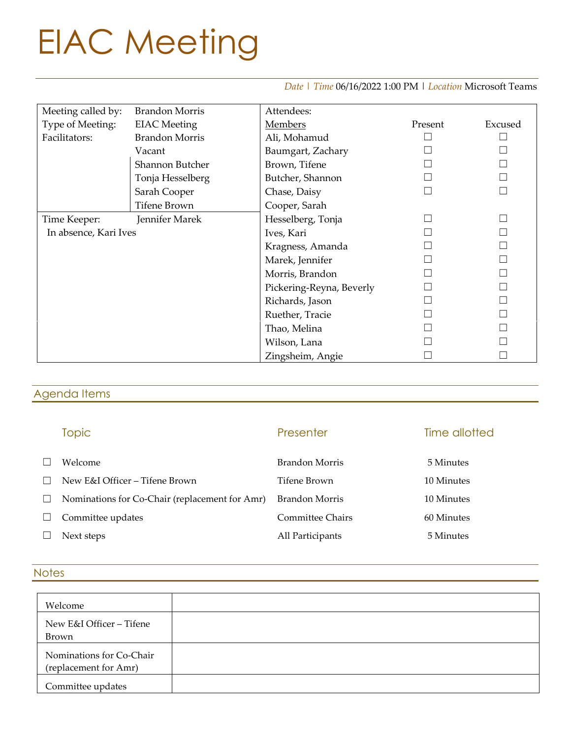# EIAC Meeting

#### *Date | Time* 06/16/2022 1:00 PM | *Location* Microsoft Teams

| Meeting called by:    | <b>Brandon Morris</b> | Attendees:               |         |         |
|-----------------------|-----------------------|--------------------------|---------|---------|
| Type of Meeting:      | <b>EIAC</b> Meeting   | <b>Members</b>           | Present | Excused |
| Facilitators:         | <b>Brandon Morris</b> | Ali, Mohamud             |         |         |
|                       | Vacant                | Baumgart, Zachary        |         |         |
|                       | Shannon Butcher       | Brown, Tifene            |         |         |
|                       | Tonja Hesselberg      | Butcher, Shannon         |         |         |
|                       | Sarah Cooper          | Chase, Daisy             |         |         |
|                       | <b>Tifene Brown</b>   | Cooper, Sarah            |         |         |
| Time Keeper:          | Jennifer Marek        | Hesselberg, Tonja        |         |         |
| In absence, Kari Ives |                       | Ives, Kari               |         |         |
|                       |                       | Kragness, Amanda         |         |         |
|                       |                       | Marek, Jennifer          |         |         |
|                       |                       | Morris, Brandon          |         |         |
|                       |                       | Pickering-Reyna, Beverly |         |         |
|                       |                       | Richards, Jason          |         |         |
|                       |                       | Ruether, Tracie          |         |         |
|                       |                       | Thao, Melina             |         |         |
|                       |                       | Wilson, Lana             |         |         |
|                       |                       | Zingsheim, Angie         |         |         |

### Agenda Items

# Topic **The Community Presenter** Presenter **Time allotted** ☐ Welcome Brandon Morris 5 Minutes ☐ New E&I Officer – Tifene Brown Tifene Brown 10 Minutes ☐ Nominations for Co-Chair (replacement for Amr) Brandon Morris 10 Minutes □ Committee updates Committee Chairs 60 Minutes ☐ Next steps All Participants 5 Minutes

#### **Notes**

| Welcome                                           |  |
|---------------------------------------------------|--|
|                                                   |  |
| New E&I Officer – Tifene                          |  |
| Brown                                             |  |
| Nominations for Co-Chair<br>(replacement for Amr) |  |
| Committee updates                                 |  |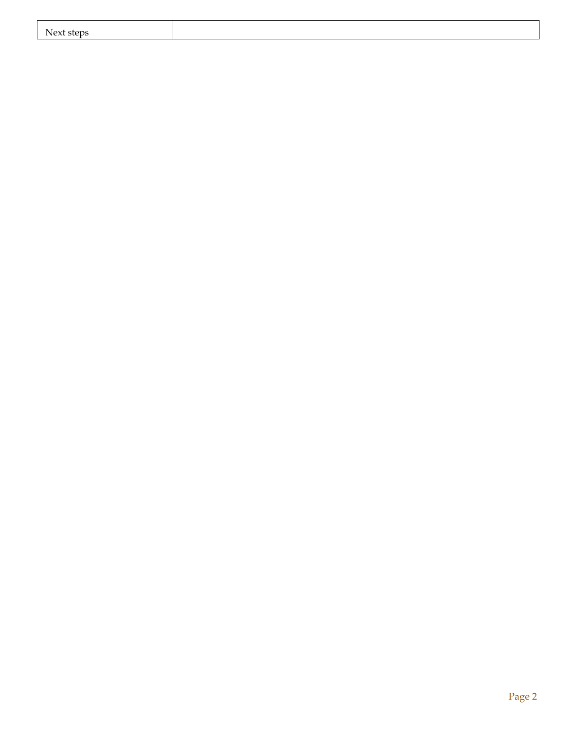| Next.<br>steps |  |
|----------------|--|
|                |  |